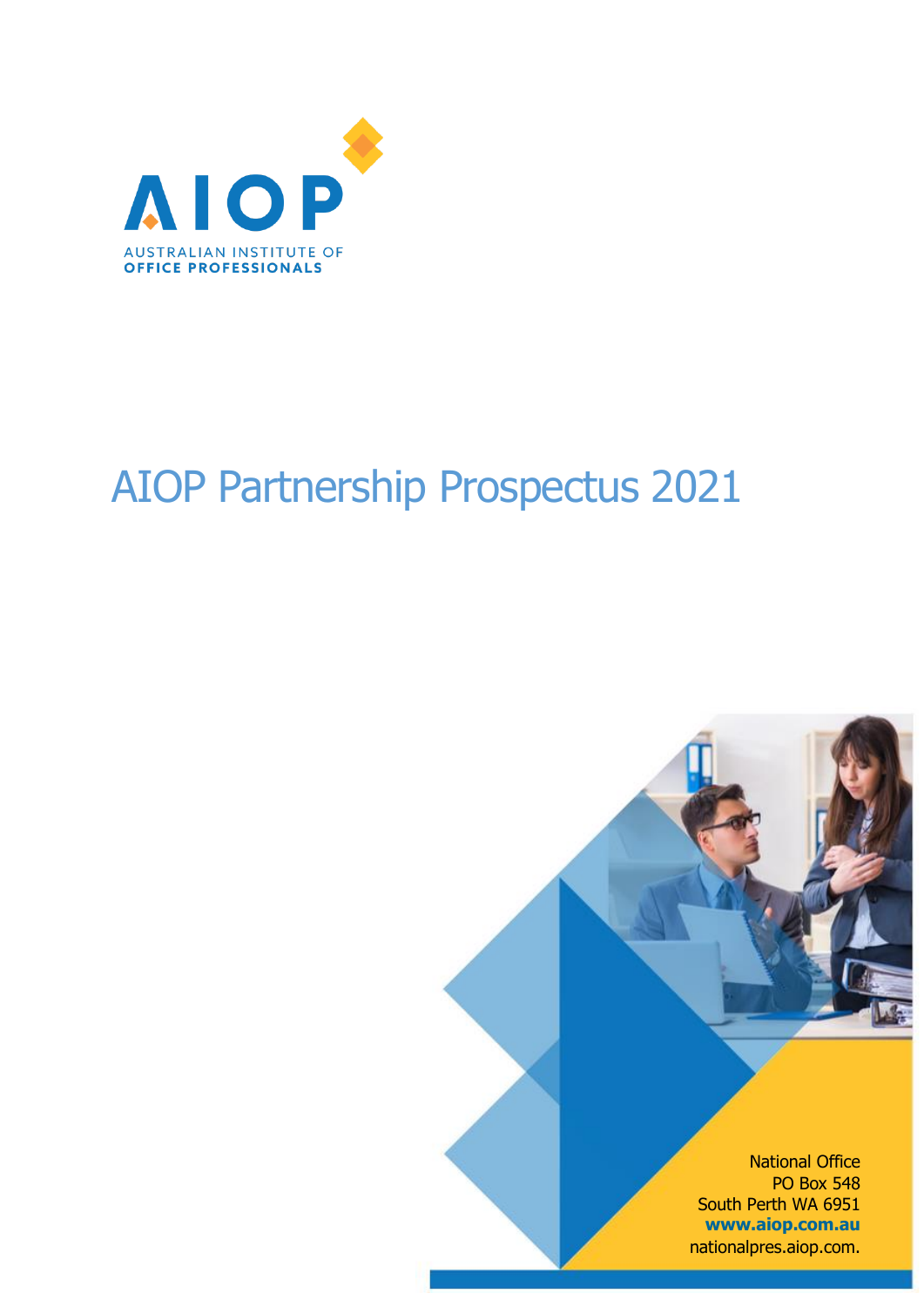

# AIOP Partnership Prospectus 2021

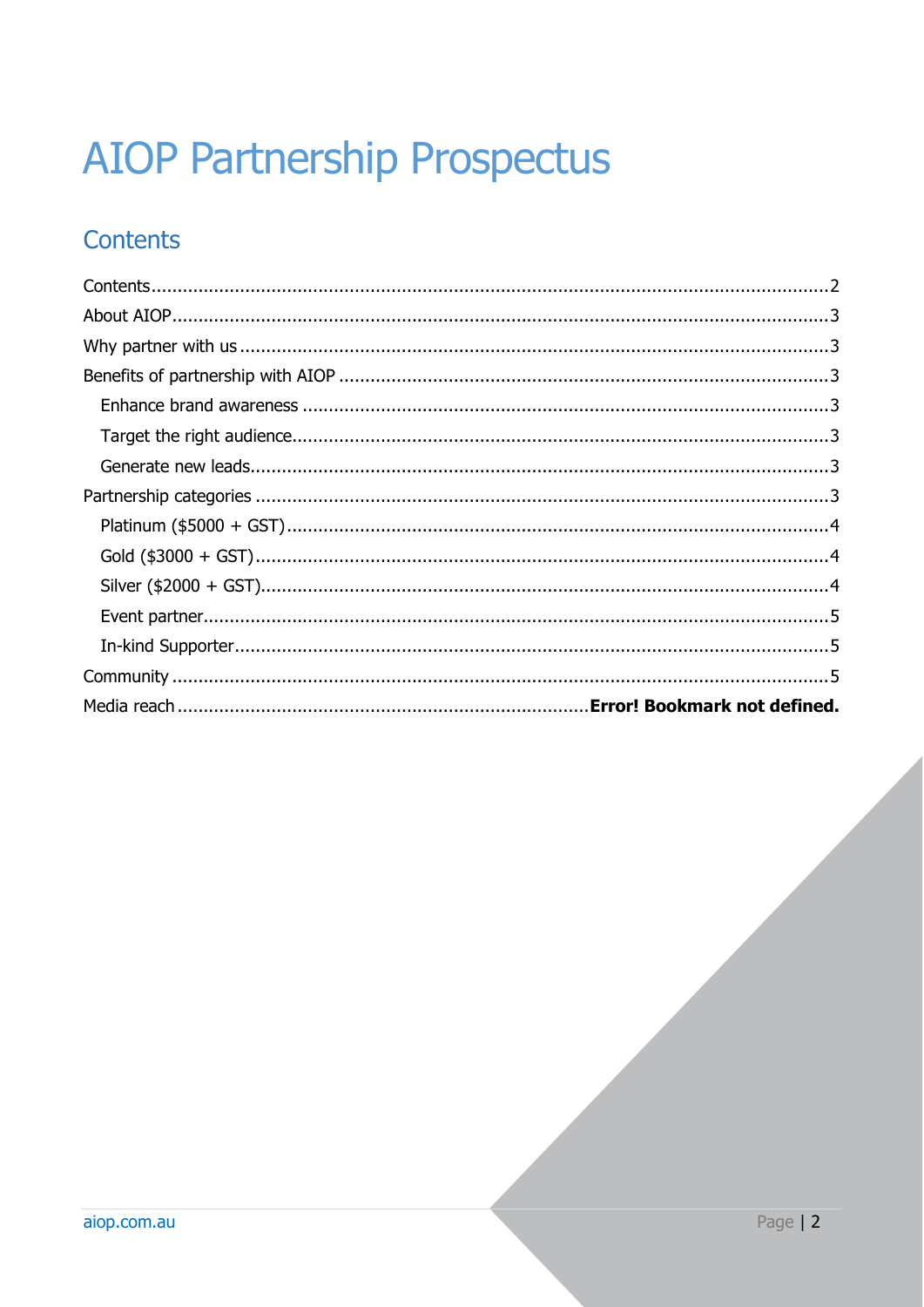# **AIOP Partnership Prospectus**

# <span id="page-1-0"></span>**Contents**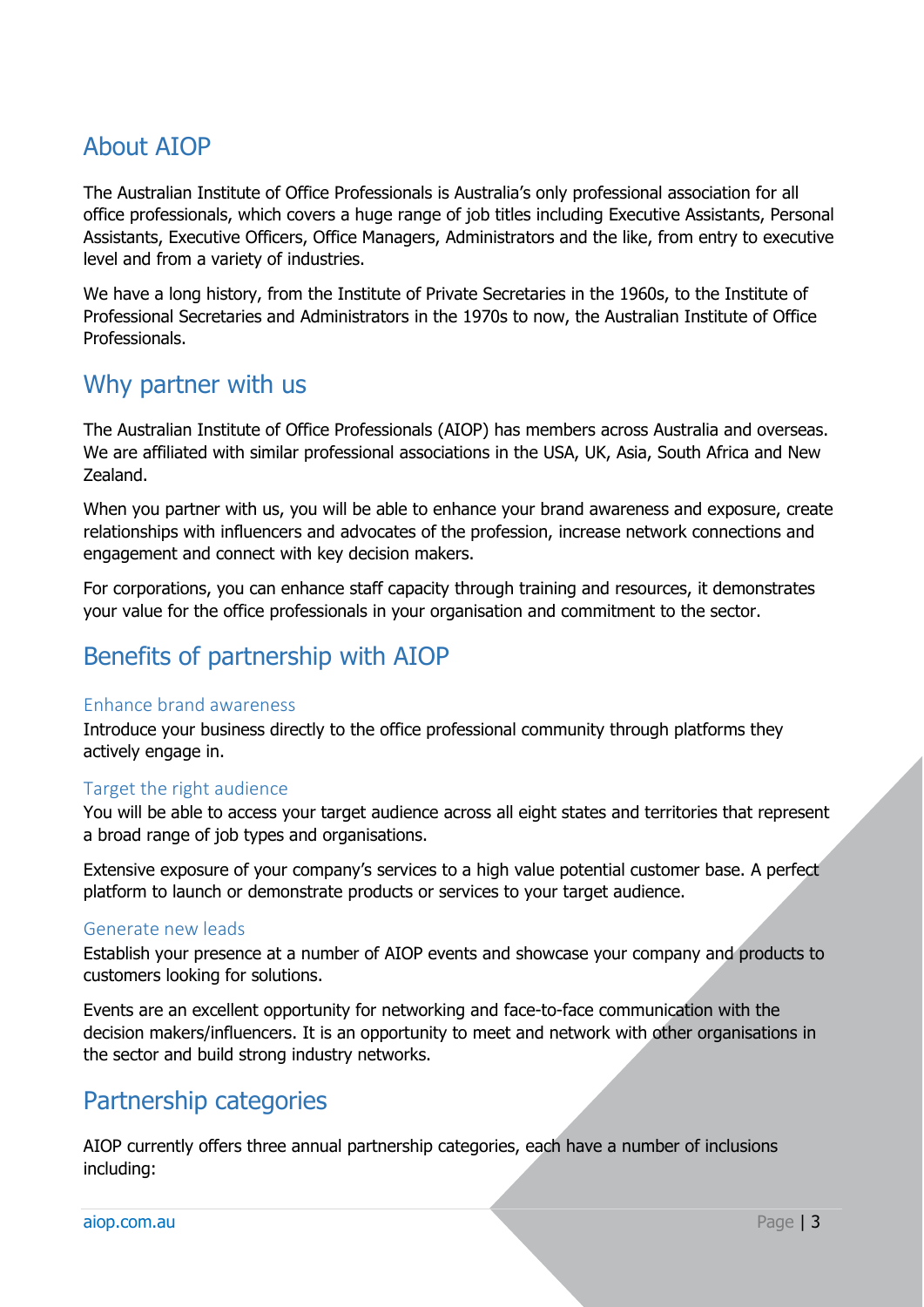## <span id="page-2-0"></span>About AIOP

The Australian Institute of Office Professionals is Australia's only professional association for all office professionals, which covers a huge range of job titles including Executive Assistants, Personal Assistants, Executive Officers, Office Managers, Administrators and the like, from entry to executive level and from a variety of industries.

We have a long history, from the Institute of Private Secretaries in the 1960s, to the Institute of Professional Secretaries and Administrators in the 1970s to now, the Australian Institute of Office Professionals.

### <span id="page-2-1"></span>Why partner with us

The Australian Institute of Office Professionals (AIOP) has members across Australia and overseas. We are affiliated with similar professional associations in the USA, UK, Asia, South Africa and New Zealand.

When you partner with us, you will be able to enhance your brand awareness and exposure, create relationships with influencers and advocates of the profession, increase network connections and engagement and connect with key decision makers.

For corporations, you can enhance staff capacity through training and resources, it demonstrates your value for the office professionals in your organisation and commitment to the sector.

## <span id="page-2-2"></span>Benefits of partnership with AIOP

#### <span id="page-2-3"></span>Enhance brand awareness

Introduce your business directly to the office professional community through platforms they actively engage in.

#### <span id="page-2-4"></span>Target the right audience

You will be able to access your target audience across all eight states and territories that represent a broad range of job types and organisations.

Extensive exposure of your company's services to a high value potential customer base. A perfect platform to launch or demonstrate products or services to your target audience.

#### <span id="page-2-5"></span>Generate new leads

Establish your presence at a number of AIOP events and showcase your company and products to customers looking for solutions.

Events are an excellent opportunity for networking and face-to-face communication with the decision makers/influencers. It is an opportunity to meet and network with other organisations in the sector and build strong industry networks.

## <span id="page-2-6"></span>Partnership categories

AIOP currently offers three annual partnership categories, each have a number of inclusions including: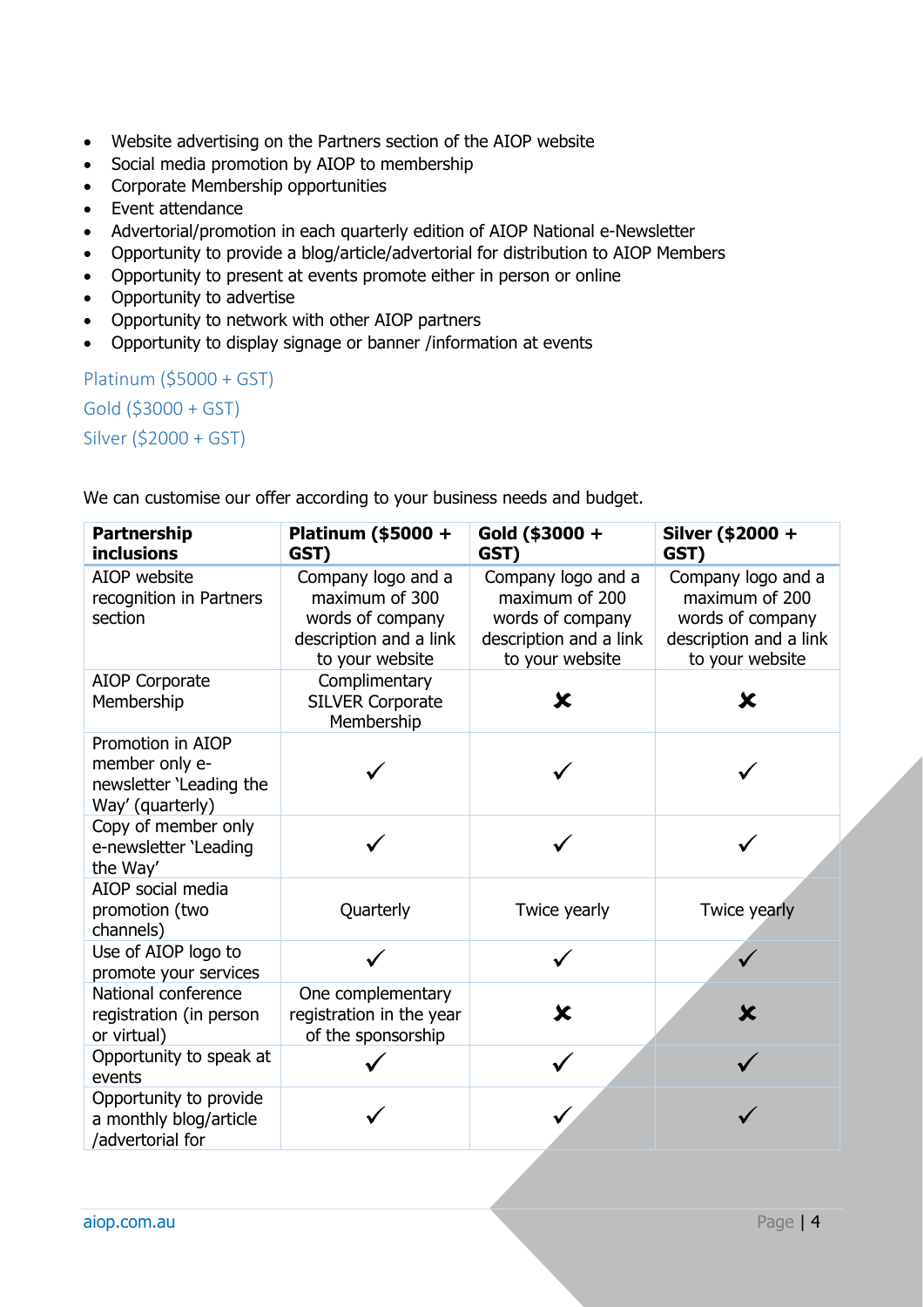- Website advertising on the Partners section of the AIOP website
- Social media promotion by AIOP to membership
- Corporate Membership opportunities
- Event attendance
- Advertorial/promotion in each quarterly edition of AIOP National e-Newsletter
- Opportunity to provide a blog/article/advertorial for distribution to AIOP Members
- Opportunity to present at events promote either in person or online
- Opportunity to advertise
- Opportunity to network with other AIOP partners
- Opportunity to display signage or banner /information at events

<span id="page-3-2"></span><span id="page-3-1"></span><span id="page-3-0"></span>Platinum (\$5000 + GST) Gold (\$3000 + GST) Silver (\$2000 + GST)

We can customise our offer according to your business needs and budget.

| <b>Partnership</b><br><b>inclusions</b>                                            | Platinum (\$5000 +<br>GST)                                                                            | Gold (\$3000 +<br>GST)                                                                                | Silver (\$2000 +<br>GST)                                                                              |
|------------------------------------------------------------------------------------|-------------------------------------------------------------------------------------------------------|-------------------------------------------------------------------------------------------------------|-------------------------------------------------------------------------------------------------------|
| AIOP website<br>recognition in Partners<br>section                                 | Company logo and a<br>maximum of 300<br>words of company<br>description and a link<br>to your website | Company logo and a<br>maximum of 200<br>words of company<br>description and a link<br>to your website | Company logo and a<br>maximum of 200<br>words of company<br>description and a link<br>to your website |
| <b>AIOP Corporate</b><br>Membership                                                | Complimentary<br><b>SILVER Corporate</b><br>Membership                                                | $\overline{\textbf{x}}$                                                                               | $\mathbf x$                                                                                           |
| Promotion in AIOP<br>member only e-<br>newsletter 'Leading the<br>Way' (quarterly) |                                                                                                       |                                                                                                       |                                                                                                       |
| Copy of member only<br>e-newsletter 'Leading<br>the Way'                           |                                                                                                       |                                                                                                       |                                                                                                       |
| AIOP social media<br>promotion (two<br>channels)                                   | Quarterly                                                                                             | Twice yearly                                                                                          | Twice yearly                                                                                          |
| Use of AIOP logo to<br>promote your services                                       |                                                                                                       |                                                                                                       | $\checkmark$                                                                                          |
| National conference<br>registration (in person<br>or virtual)                      | One complementary<br>registration in the year<br>of the sponsorship                                   | X                                                                                                     | $\mathbf x$                                                                                           |
| Opportunity to speak at<br>events                                                  |                                                                                                       |                                                                                                       |                                                                                                       |
| Opportunity to provide<br>a monthly blog/article<br>/advertorial for               |                                                                                                       |                                                                                                       |                                                                                                       |